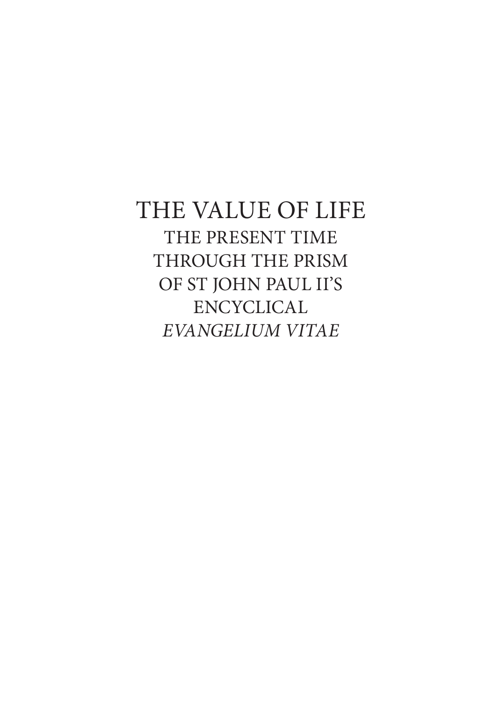## THE VALUE OF LIFE THE PRESENT TIME THROUGH THE PRISM OF ST JOHN PAUL II'S ENCYCLICAL *EVANGELIUM VITAE*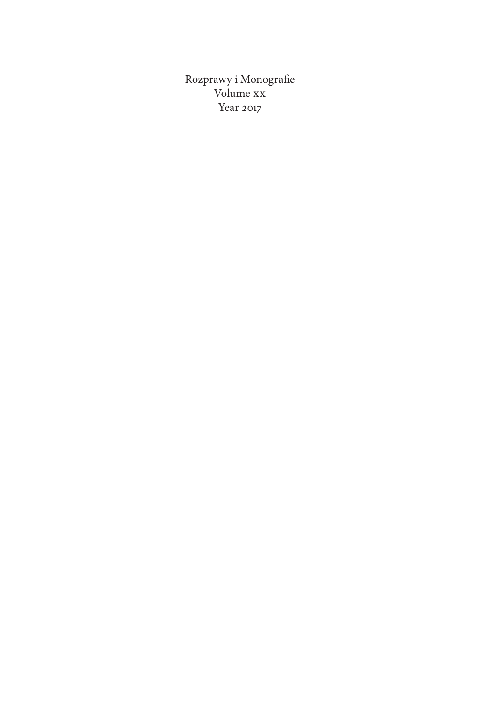Rozprawy i Monografie Volume xx Year 2017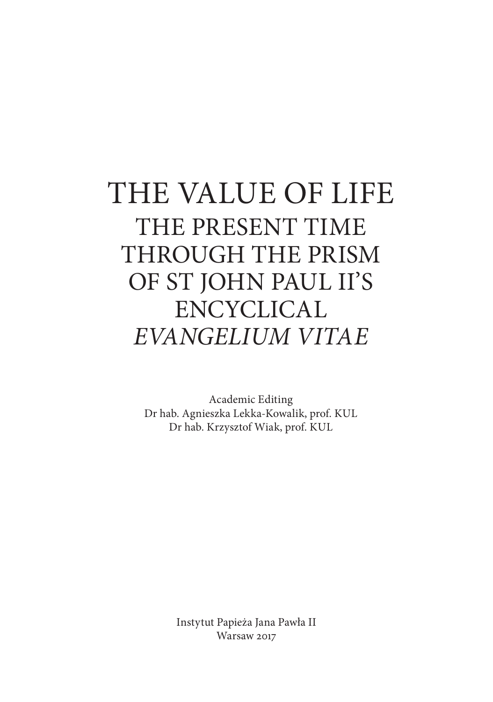# THE VALUE OF LIFE THE PRESENT TIME THROUGH THE PRISM OF ST JOHN PAUL II'S ENCYCLICAL *EVANGELIUM VITAE*

Academic Editing Dr hab. Agnieszka Lekka-Kowalik, prof. KUL Dr hab. Krzysztof Wiak, prof. KUL

> Instytut Papieża Jana Pawła II Warsaw 2017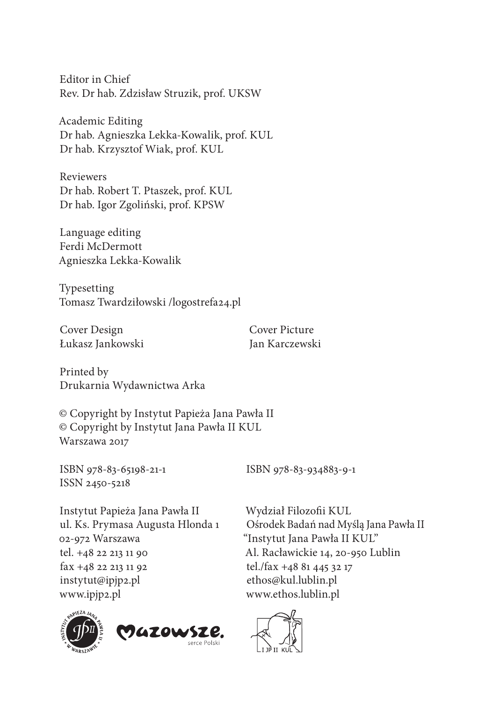Editor in Chief Rev. Dr hab. Zdzisław Struzik, prof. UKSW

Academic Editing Dr hab. Agnieszka Lekka-Kowalik, prof. KUL Dr hab. Krzysztof Wiak, prof. KUL

Reviewers Dr hab. Robert T. Ptaszek, prof. KUL Dr hab. Igor Zgoliński, prof. KPSW

Language editing Ferdi McDermott Agnieszka Lekka-Kowalik

Typesetting Tomasz Twardziłowski /logostrefa24.pl

Cover Design Cover Picture Łukasz Jankowski Man Karczewski

Printed by Drukarnia Wydawnictwa Arka

© Copyright by Instytut Papieża Jana Pawła II © Copyright by Instytut Jana Pawła II KUL Warszawa 2017

ISSN 2450-5218

ISBN 978-83-65198-21-1 ISBN 978-83-934883-9-1

Instytut Papieża Jana Pawła II ul. Ks. Prymasa Augusta Hlonda 1 02-972 Warszawa tel. +48 22 213 11 90 fax +48 22 213 11 92 instytut@ipjp2.pl www.ipjp2.pl





Wydział Filozofii KUL Ośrodek Badań nad Myślą Jana Pawła II "Instytut Jana Pawła II KUL" Al. Racławickie 14, 20-950 Lublin tel./fax +48 81 445 32 17 ethos@kul.lublin.pl www.ethos.lublin.pl

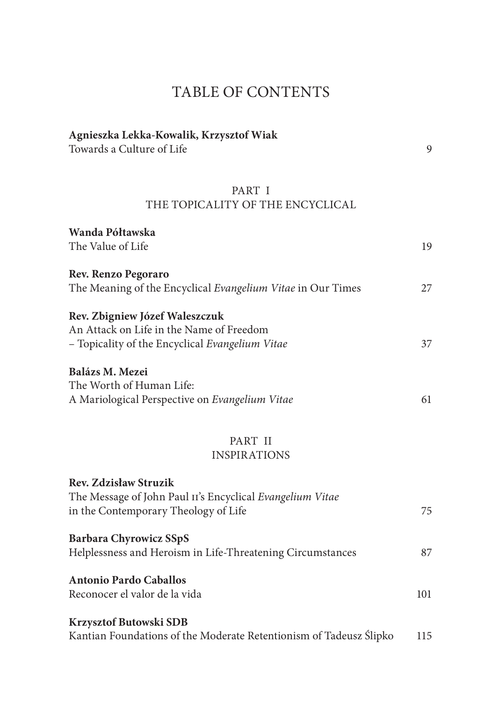## TABLE OF CONTENTS

| Agnieszka Lekka-Kowalik, Krzysztof Wiak<br>Towards a Culture of Life                                                          | 9   |
|-------------------------------------------------------------------------------------------------------------------------------|-----|
| PART I<br>THE TOPICALITY OF THE ENCYCLICAL                                                                                    |     |
| Wanda Półtawska<br>The Value of Life                                                                                          | 19  |
| Rev. Renzo Pegoraro<br>The Meaning of the Encyclical Evangelium Vitae in Our Times                                            | 27  |
| Rev. Zbigniew Józef Waleszczuk<br>An Attack on Life in the Name of Freedom<br>- Topicality of the Encyclical Evangelium Vitae | 37  |
| Balázs M. Mezei<br>The Worth of Human Life:<br>A Mariological Perspective on Evangelium Vitae                                 | 61  |
| PART II<br><b>INSPIRATIONS</b>                                                                                                |     |
| <b>Rev. Zdzisław Struzik</b>                                                                                                  |     |
| The Message of John Paul II's Encyclical Evangelium Vitae<br>in the Contemporary Theology of Life                             | 75  |
| <b>Barbara Chyrowicz SSpS</b><br>Helplessness and Heroism in Life-Threatening Circumstances                                   | 87  |
| <b>Antonio Pardo Caballos</b><br>Reconocer el valor de la vida                                                                | 101 |
| Krzysztof Butowski SDB<br>Kantian Foundations of the Moderate Retentionism of Tadeusz Ślipko                                  | 115 |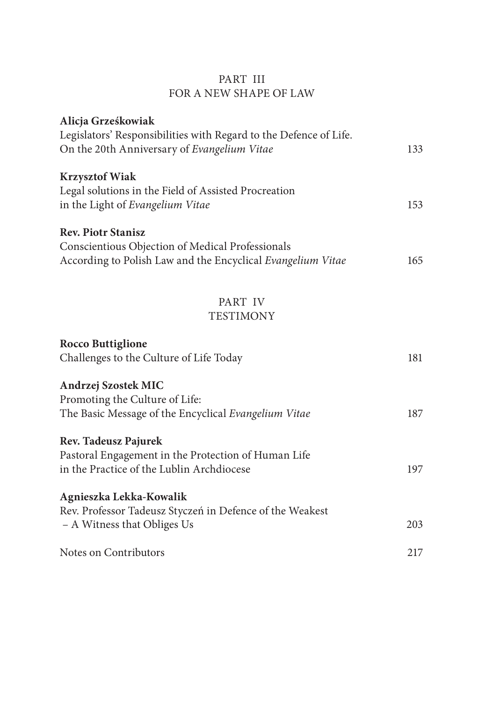#### PART III FOR A NEW SHAPE OF LAW

| Legislators' Responsibilities with Regard to the Defence of Life.                                                                                                                                                                                                                                                                                                                                                                                                  |            |
|--------------------------------------------------------------------------------------------------------------------------------------------------------------------------------------------------------------------------------------------------------------------------------------------------------------------------------------------------------------------------------------------------------------------------------------------------------------------|------------|
| On the 20th Anniversary of Evangelium Vitae                                                                                                                                                                                                                                                                                                                                                                                                                        | 133        |
|                                                                                                                                                                                                                                                                                                                                                                                                                                                                    |            |
| <b>Krzysztof Wiak</b>                                                                                                                                                                                                                                                                                                                                                                                                                                              |            |
| Legal solutions in the Field of Assisted Procreation                                                                                                                                                                                                                                                                                                                                                                                                               |            |
| in the Light of Evangelium Vitae                                                                                                                                                                                                                                                                                                                                                                                                                                   | 153        |
|                                                                                                                                                                                                                                                                                                                                                                                                                                                                    |            |
|                                                                                                                                                                                                                                                                                                                                                                                                                                                                    |            |
|                                                                                                                                                                                                                                                                                                                                                                                                                                                                    | 165        |
|                                                                                                                                                                                                                                                                                                                                                                                                                                                                    |            |
|                                                                                                                                                                                                                                                                                                                                                                                                                                                                    |            |
|                                                                                                                                                                                                                                                                                                                                                                                                                                                                    |            |
|                                                                                                                                                                                                                                                                                                                                                                                                                                                                    |            |
|                                                                                                                                                                                                                                                                                                                                                                                                                                                                    |            |
|                                                                                                                                                                                                                                                                                                                                                                                                                                                                    |            |
|                                                                                                                                                                                                                                                                                                                                                                                                                                                                    |            |
| Andrzej Szostek MIC                                                                                                                                                                                                                                                                                                                                                                                                                                                |            |
|                                                                                                                                                                                                                                                                                                                                                                                                                                                                    |            |
|                                                                                                                                                                                                                                                                                                                                                                                                                                                                    | 187        |
|                                                                                                                                                                                                                                                                                                                                                                                                                                                                    |            |
| Rev. Tadeusz Pajurek                                                                                                                                                                                                                                                                                                                                                                                                                                               |            |
| Pastoral Engagement in the Protection of Human Life                                                                                                                                                                                                                                                                                                                                                                                                                |            |
| in the Practice of the Lublin Archdiocese                                                                                                                                                                                                                                                                                                                                                                                                                          | 197        |
|                                                                                                                                                                                                                                                                                                                                                                                                                                                                    |            |
|                                                                                                                                                                                                                                                                                                                                                                                                                                                                    |            |
|                                                                                                                                                                                                                                                                                                                                                                                                                                                                    |            |
|                                                                                                                                                                                                                                                                                                                                                                                                                                                                    |            |
| Notes on Contributors                                                                                                                                                                                                                                                                                                                                                                                                                                              | 217        |
| <b>Rev. Piotr Stanisz</b><br>Conscientious Objection of Medical Professionals<br>According to Polish Law and the Encyclical Evangelium Vitae<br>PART IV<br><b>TESTIMONY</b><br><b>Rocco Buttiglione</b><br>Challenges to the Culture of Life Today<br>Promoting the Culture of Life:<br>The Basic Message of the Encyclical Evangelium Vitae<br>Agnieszka Lekka-Kowalik<br>Rev. Professor Tadeusz Styczeń in Defence of the Weakest<br>- A Witness that Obliges Us | 181<br>203 |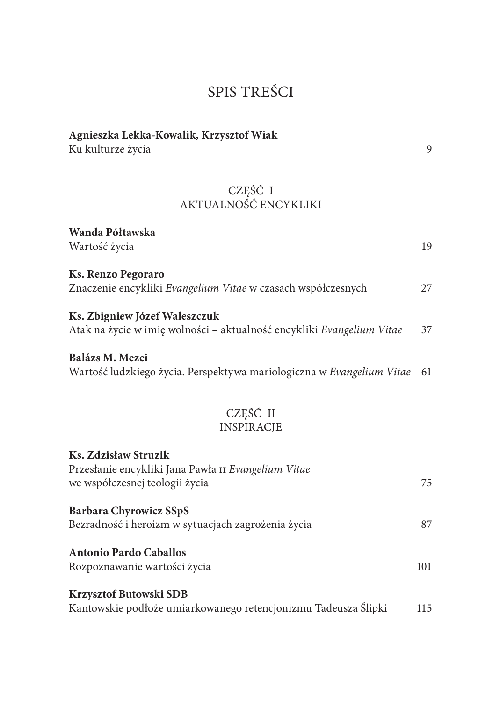## SPIS TREŚCI

| Agnieszka Lekka-Kowalik, Krzysztof Wiak<br>Ku kulturze życia                                                  | 9   |
|---------------------------------------------------------------------------------------------------------------|-----|
| CZEŚĆ I<br>AKTUALNOŚĆ ENCYKLIKI                                                                               |     |
| Wanda Półtawska<br>Wartość życia                                                                              | 19  |
| <b>Ks. Renzo Pegoraro</b><br>Znaczenie encykliki Evangelium Vitae w czasach współczesnych                     | 27  |
| Ks. Zbigniew Józef Waleszczuk<br>Atak na życie w imię wolności - aktualność encykliki Evangelium Vitae        | 37  |
| Balázs M. Mezei<br>Wartość ludzkiego życia. Perspektywa mariologiczna w Evangelium Vitae                      | 61  |
| CZĘŚĆ II<br><b>INSPIRACJE</b>                                                                                 |     |
| Ks. Zdzisław Struzik<br>Przesłanie encykliki Jana Pawła II Evangelium Vitae<br>we współczesnej teologii życia | 75  |
| <b>Barbara Chyrowicz SSpS</b><br>Bezradność i heroizm w sytuacjach zagrożenia życia                           | 87  |
| <b>Antonio Pardo Caballos</b><br>Rozpoznawanie wartości życia                                                 | 101 |
| Krzysztof Butowski SDB<br>Kantowskie podłoże umiarkowanego retencjonizmu Tadeusza Ślipki                      | 115 |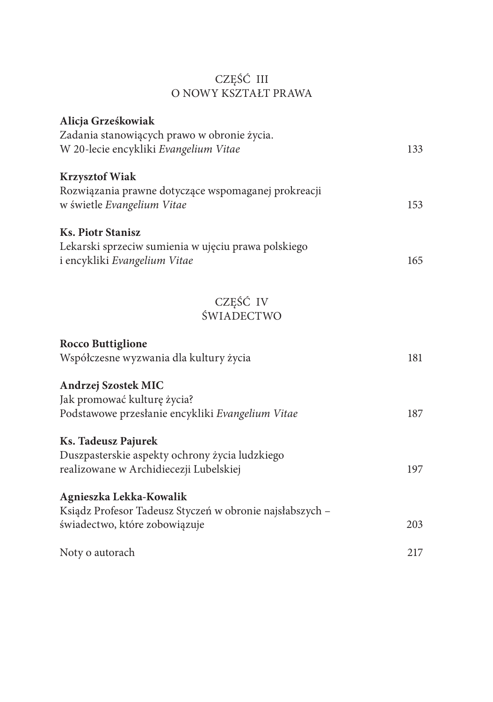#### CZĘŚĆ III O NOWY KSZTAŁT PRAWA

| Alicja Grześkowiak                                       |     |
|----------------------------------------------------------|-----|
| Zadania stanowiących prawo w obronie życia.              |     |
| W 20-lecie encykliki Evangelium Vitae                    | 133 |
| <b>Krzysztof Wiak</b>                                    |     |
| Rozwiązania prawne dotyczące wspomaganej prokreacji      |     |
| w świetle Evangelium Vitae                               | 153 |
| <b>Ks. Piotr Stanisz</b>                                 |     |
| Lekarski sprzeciw sumienia w ujęciu prawa polskiego      |     |
| i encykliki Evangelium Vitae                             | 165 |
|                                                          |     |
| CZEŚĆ IV                                                 |     |
| ŚWIADECTWO                                               |     |
| <b>Rocco Buttiglione</b>                                 |     |
| Współczesne wyzwania dla kultury życia                   | 181 |
| Andrzej Szostek MIC                                      |     |
| Jak promować kulturę życia?                              |     |
| Podstawowe przesłanie encykliki Evangelium Vitae         | 187 |
| Ks. Tadeusz Pajurek                                      |     |
| Duszpasterskie aspekty ochrony życia ludzkiego           |     |
| realizowane w Archidiecezji Lubelskiej                   | 197 |
| Agnieszka Lekka-Kowalik                                  |     |
| Ksiądz Profesor Tadeusz Styczeń w obronie najsłabszych - |     |
| świadectwo, które zobowiązuje                            | 203 |
| Noty o autorach                                          | 217 |
|                                                          |     |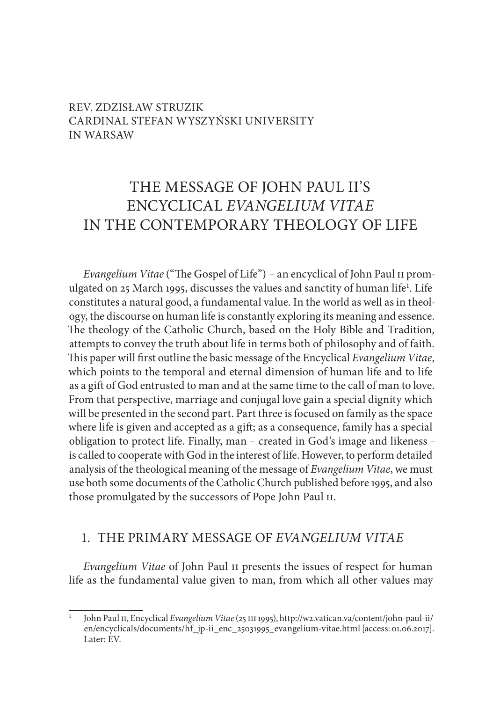#### REV. ZDZISŁAW STRUZIK CARDINAL STEFAN WYSZYŃSKI UNIVERSITY IN WARSAW

## THE MESSAGE OF JOHN PAUL II'S ENCYCLICAL *EVANGELIUM VITAE* IN THE CONTEMPORARY THEOLOGY OF LIFE

*Evangelium Vitae* ("The Gospel of Life") – an encyclical of John Paul ii promulgated on 25 March 1995, discusses the values and sanctity of human life<sup>1</sup>. Life constitutes a natural good, a fundamental value. In the world as well as in theology, the discourse on human life is constantly exploring its meaning and essence. The theology of the Catholic Church, based on the Holy Bible and Tradition, attempts to convey the truth about life in terms both of philosophy and of faith. This paper will first outline the basic message of the Encyclical *Evangelium Vitae*, which points to the temporal and eternal dimension of human life and to life as a gift of God entrusted to man and at the same time to the call of man to love. From that perspective, marriage and conjugal love gain a special dignity which will be presented in the second part. Part three is focused on family as the space where life is given and accepted as a gift; as a consequence, family has a special obligation to protect life. Finally, man – created in God's image and likeness – is called to cooperate with God in the interest of life. However, to perform detailed analysis of the theological meaning of the message of *Evangelium Vitae*, we must use both some documents of the Catholic Church published before 1995, and also those promulgated by the successors of Pope John Paul ii.

#### 1. THE PRIMARY MESSAGE OF *EVANGELIUM VITAE*

*Evangelium Vitae* of John Paul ii presents the issues of respect for human life as the fundamental value given to man, from which all other values may

<sup>1</sup> John Paul ii, Encyclical *Evangelium Vitae* (25 iii 1995), http://w2.vatican.va/content/john-paul-ii/ en/encyclicals/documents/hf\_jp-ii\_enc\_25031995\_evangelium-vitae.html [access: 01.06.2017]. Later: EV.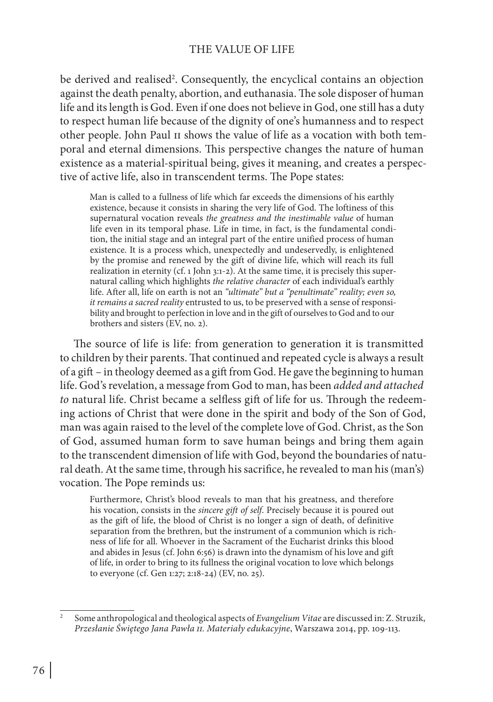#### THE VALUE OF LIFE

be derived and realised<sup>2</sup>. Consequently, the encyclical contains an objection against the death penalty, abortion, and euthanasia. The sole disposer of human life and its length is God. Even if one does not believe in God, one still has a duty to respect human life because of the dignity of one's humanness and to respect other people. John Paul ii shows the value of life as a vocation with both temporal and eternal dimensions. This perspective changes the nature of human existence as a material-spiritual being, gives it meaning, and creates a perspective of active life, also in transcendent terms. The Pope states:

Man is called to a fullness of life which far exceeds the dimensions of his earthly existence, because it consists in sharing the very life of God. The loftiness of this supernatural vocation reveals *the greatness and the inestimable value* of human life even in its temporal phase. Life in time, in fact, is the fundamental condition, the initial stage and an integral part of the entire unified process of human existence. It is a process which, unexpectedly and undeservedly, is enlightened by the promise and renewed by the gift of divine life, which will reach its full realization in eternity (cf. 1 John 3:1-2). At the same time, it is precisely this supernatural calling which highlights *the relative character* of each individual's earthly life. After all, life on earth is not an *"ultimate" but a "penultimate" reality; even so, it remains a sacred reality* entrusted to us, to be preserved with a sense of responsibility and brought to perfection in love and in the gift of ourselves to God and to our brothers and sisters (EV, no. 2).

The source of life is life: from generation to generation it is transmitted to children by their parents. That continued and repeated cycle is always a result of a gift – in theology deemed as a gift from God. He gave the beginning to human life. God's revelation, a message from God to man, has been *added and attached to* natural life. Christ became a selfless gift of life for us. Through the redeeming actions of Christ that were done in the spirit and body of the Son of God, man was again raised to the level of the complete love of God. Christ, as the Son of God, assumed human form to save human beings and bring them again to the transcendent dimension of life with God, beyond the boundaries of natural death. At the same time, through his sacrifice, he revealed to man his (man's) vocation. The Pope reminds us:

Furthermore, Christ's blood reveals to man that his greatness, and therefore his vocation, consists in the *sincere gift of self*. Precisely because it is poured out as the gift of life, the blood of Christ is no longer a sign of death, of definitive separation from the brethren, but the instrument of a communion which is richness of life for all. Whoever in the Sacrament of the Eucharist drinks this blood and abides in Jesus (cf. John 6:56) is drawn into the dynamism of his love and gift of life, in order to bring to its fullness the original vocation to love which belongs to everyone (cf. Gen 1:27; 2:18-24) (EV, no. 25).

<sup>2</sup> Some anthropological and theological aspects of *Evangelium Vitae* are discussed in: Z. Struzik, *Przesłanie Świętego Jana Pawła ii. Materiały edukacyjne*, Warszawa 2014, pp. 109-113.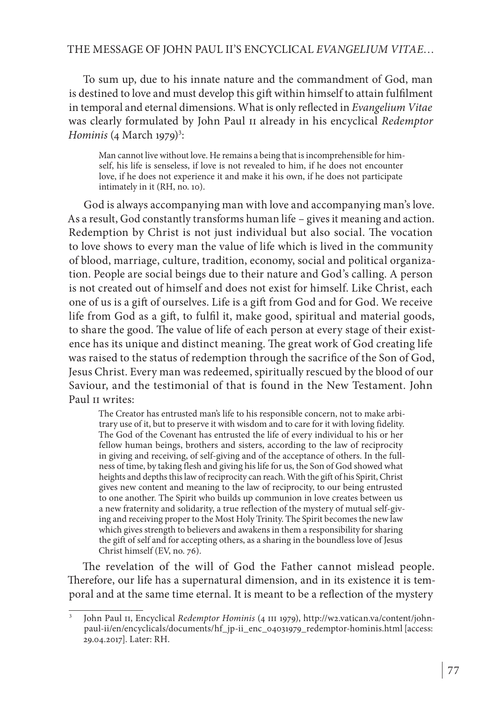#### THE MESSAGE OF JOHN PAUL II'S ENCYCLICAL *EVANGELIUM VITAE*…

To sum up, due to his innate nature and the commandment of God, man is destined to love and must develop this gift within himself to attain fulfilment in temporal and eternal dimensions. What is only reflected in *Evangelium Vitae* was clearly formulated by John Paul ii already in his encyclical *Redemptor Hominis* (4 March 1979)<sup>3</sup>:

Man cannot live without love. He remains a being that is incomprehensible for himself, his life is senseless, if love is not revealed to him, if he does not encounter love, if he does not experience it and make it his own, if he does not participate intimately in it (RH, no. 10).

God is always accompanying man with love and accompanying man's love. As a result, God constantly transforms human life – gives it meaning and action. Redemption by Christ is not just individual but also social. The vocation to love shows to every man the value of life which is lived in the community of blood, marriage, culture, tradition, economy, social and political organization. People are social beings due to their nature and God's calling. A person is not created out of himself and does not exist for himself. Like Christ, each one of us is a gift of ourselves. Life is a gift from God and for God. We receive life from God as a gift, to fulfil it, make good, spiritual and material goods, to share the good. The value of life of each person at every stage of their existence has its unique and distinct meaning. The great work of God creating life was raised to the status of redemption through the sacrifice of the Son of God, Jesus Christ. Every man was redeemed, spiritually rescued by the blood of our Saviour, and the testimonial of that is found in the New Testament. John Paul II writes:

The Creator has entrusted man's life to his responsible concern, not to make arbitrary use of it, but to preserve it with wisdom and to care for it with loving fidelity. The God of the Covenant has entrusted the life of every individual to his or her fellow human beings, brothers and sisters, according to the law of reciprocity in giving and receiving, of self-giving and of the acceptance of others. In the fullness of time, by taking flesh and giving his life for us, the Son of God showed what heights and depths this law of reciprocity can reach. With the gift of his Spirit, Christ gives new content and meaning to the law of reciprocity, to our being entrusted to one another. The Spirit who builds up communion in love creates between us a new fraternity and solidarity, a true reflection of the mystery of mutual self-giving and receiving proper to the Most Holy Trinity. The Spirit becomes the new law which gives strength to believers and awakens in them a responsibility for sharing the gift of self and for accepting others, as a sharing in the boundless love of Jesus Christ himself (EV, no. 76).

The revelation of the will of God the Father cannot mislead people. Therefore, our life has a supernatural dimension, and in its existence it is temporal and at the same time eternal. It is meant to be a reflection of the mystery

John Paul II, Encyclical *Redemptor Hominis* (4 III 1979), http://w2.vatican.va/content/johnpaul-ii/en/encyclicals/documents/hf\_jp-ii\_enc\_04031979\_redemptor-hominis.html [access: 29.04.2017]. Later: RH.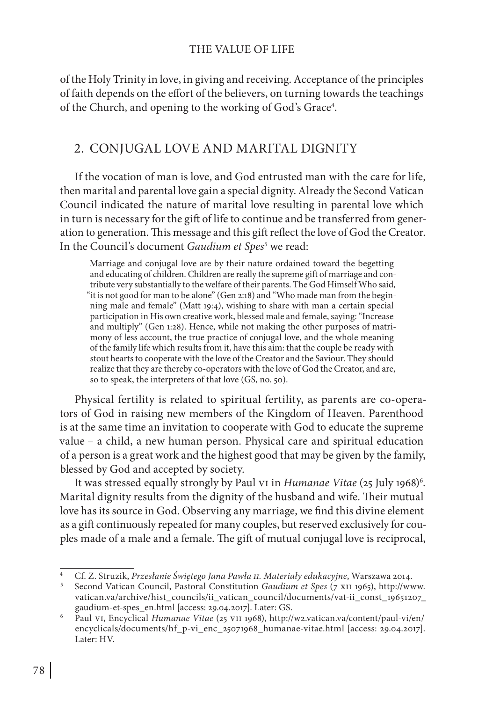of the Holy Trinity in love, in giving and receiving. Acceptance of the principles of faith depends on the effort of the believers, on turning towards the teachings of the Church, and opening to the working of God's Grace<sup>4</sup>.

#### 2. CONJUGAL LOVE AND MARITAL DIGNITY

If the vocation of man is love, and God entrusted man with the care for life, then marital and parental love gain a special dignity. Already the Second Vatican Council indicated the nature of marital love resulting in parental love which in turn is necessary for the gift of life to continue and be transferred from generation to generation. This message and this gift reflect the love of God the Creator. In the Council's document *Gaudium et Spes*<sup>5</sup> we read:

Marriage and conjugal love are by their nature ordained toward the begetting and educating of children. Children are really the supreme gift of marriage and contribute very substantially to the welfare of their parents. The God Himself Who said, "it is not good for man to be alone" (Gen 2:18) and "Who made man from the beginning male and female" (Matt 19:4), wishing to share with man a certain special participation in His own creative work, blessed male and female, saying: "Increase and multiply" (Gen 1:28). Hence, while not making the other purposes of matrimony of less account, the true practice of conjugal love, and the whole meaning of the family life which results from it, have this aim: that the couple be ready with stout hearts to cooperate with the love of the Creator and the Saviour. They should realize that they are thereby co-operators with the love of God the Creator, and are, so to speak, the interpreters of that love (GS, no. 50).

Physical fertility is related to spiritual fertility, as parents are co-operators of God in raising new members of the Kingdom of Heaven. Parenthood is at the same time an invitation to cooperate with God to educate the supreme value – a child, a new human person. Physical care and spiritual education of a person is a great work and the highest good that may be given by the family, blessed by God and accepted by society.

It was stressed equally strongly by Paul v1 in *Humanae Vitae* (25 July 1968)<sup>6</sup>. Marital dignity results from the dignity of the husband and wife. Their mutual love has its source in God. Observing any marriage, we find this divine element as a gift continuously repeated for many couples, but reserved exclusively for couples made of a male and a female. The gift of mutual conjugal love is reciprocal,

<sup>4</sup> Cf. Z. Struzik, *Przesłanie Świętego Jana Pawła ii. Materiały edukacyjne*, Warszawa 2014.

<sup>5</sup> Second Vatican Council, Pastoral Constitution *Gaudium et Spes* (7 xii 1965), http://www. vatican.va/archive/hist\_councils/ii\_vatican\_council/documents/vat-ii\_const\_19651207\_ gaudium-et-spes\_en.html [access: 29.04.2017]. Later: GS.

<sup>6</sup> Paul vi, Encyclical *Humanae Vitae* (25 vii 1968), http://w2.vatican.va/content/paul-vi/en/ encyclicals/documents/hf\_p-vi\_enc\_25071968\_humanae-vitae.html [access: 29.04.2017]. Later: HV.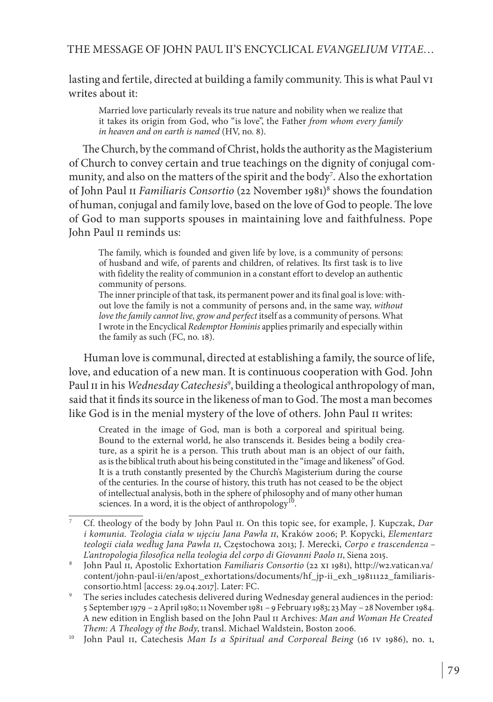#### THE MESSAGE OF JOHN PAUL II'S ENCYCLICAL *EVANGELIUM VITAE*…

lasting and fertile, directed at building a family community. This is what Paul vi writes about it:

Married love particularly reveals its true nature and nobility when we realize that it takes its origin from God, who "is love", the Father *from whom every family in heaven and on earth is named* (HV, no. 8).

The Church, by the command of Christ, holds the authority as the Magisterium of Church to convey certain and true teachings on the dignity of conjugal community, and also on the matters of the spirit and the body<sup>7</sup>. Also the exhortation of John Paul 11 *Familiaris Consortio* (22 November 1981)<sup>8</sup> shows the foundation of human, conjugal and family love, based on the love of God to people. The love of God to man supports spouses in maintaining love and faithfulness. Pope John Paul II reminds us:

The family, which is founded and given life by love, is a community of persons: of husband and wife, of parents and children, of relatives. Its first task is to live with fidelity the reality of communion in a constant effort to develop an authentic community of persons.

The inner principle of that task, its permanent power and its final goal is love: without love the family is not a community of persons and, in the same way, *without love the family cannot live, grow and perfect* itself as a community of persons. What I wrote in the Encyclical *Redemptor Hominis* applies primarily and especially within the family as such (FC, no. 18).

Human love is communal, directed at establishing a family, the source of life, love, and education of a new man. It is continuous cooperation with God. John Paul 11 in his *Wednesday Catechesis*<sup>9</sup>, building a theological anthropology of man, said that it finds its source in the likeness of man to God. The most a man becomes like God is in the menial mystery of the love of others. John Paul II writes:

Created in the image of God, man is both a corporeal and spiritual being. Bound to the external world, he also transcends it. Besides being a bodily creature, as a spirit he is a person. This truth about man is an object of our faith, as is the biblical truth about his being constituted in the "image and likeness" of God. It is a truth constantly presented by the Church's Magisterium during the course of the centuries. In the course of history, this truth has not ceased to be the object of intellectual analysis, both in the sphere of philosophy and of many other human sciences. In a word, it is the object of anthropology<sup>10</sup>.

- <sup>8</sup> John Paul ii, Apostolic Exhortation *Familiaris Consortio* (22 xi 1981), http://w2.vatican.va/ content/john-paul-ii/en/apost\_exhortations/documents/hf\_jp-ii\_exh\_19811122\_familiarisconsortio.html [access: 29.04.2017]. Later: FC.
- <sup>9</sup> The series includes catechesis delivered during Wednesday general audiences in the period: 5 September 1979 – 2 April 1980; 11 November 1981 – 9 February 1983; 23 May – 28 November 1984. A new edition in English based on the John Paul ii Archives: *Man and Woman He Created Them: A Theology of the Body*, transl. Michael Waldstein, Boston 2006.
- <sup>10</sup> John Paul ii, Catechesis *Man Is a Spiritual and Corporeal Being* (16 iv 1986), no. 1,

<sup>7</sup> Cf. theology of the body by John Paul ii. On this topic see, for example, J. Kupczak, *Dar i komunia. Teologia ciała w ujęciu Jana Pawła ii*, Kraków 2006; P. Kopycki, *Elementarz teologii ciała według Jana Pawła ii*, Częstochowa 2013; J. Merecki, *Corpo e trascendenza – L'antropologia filosofica nella teologia del corpo di Giovanni Paolo ii*, Siena 2015.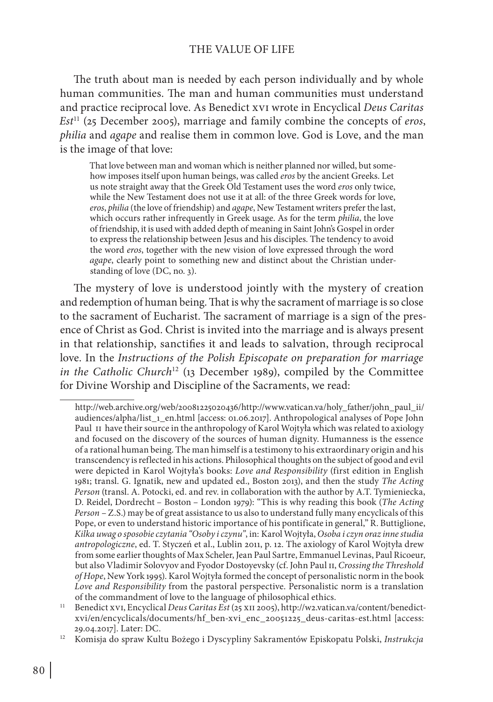#### THE VALUE OF LIFE

The truth about man is needed by each person individually and by whole human communities. The man and human communities must understand and practice reciprocal love. As Benedict xvi wrote in Encyclical *Deus Caritas Est*11 (25 December 2005), marriage and family combine the concepts of *eros*, *philia* and *agape* and realise them in common love. God is Love, and the man is the image of that love:

That love between man and woman which is neither planned nor willed, but somehow imposes itself upon human beings, was called *eros* by the ancient Greeks. Let us note straight away that the Greek Old Testament uses the word *eros* only twice, while the New Testament does not use it at all: of the three Greek words for love, *eros*, *philia* (the love of friendship) and *agape*, New Testament writers prefer the last, which occurs rather infrequently in Greek usage. As for the term *philia*, the love of friendship, it is used with added depth of meaning in Saint John's Gospel in order to express the relationship between Jesus and his disciples. The tendency to avoid the word *eros*, together with the new vision of love expressed through the word *agape*, clearly point to something new and distinct about the Christian understanding of love (DC, no. 3).

The mystery of love is understood jointly with the mystery of creation and redemption of human being. That is why the sacrament of marriage is so close to the sacrament of Eucharist. The sacrament of marriage is a sign of the presence of Christ as God. Christ is invited into the marriage and is always present in that relationship, sanctifies it and leads to salvation, through reciprocal love. In the *Instructions of the Polish Episcopate on preparation for marriage in the Catholic Church*12 (13 December 1989), compiled by the Committee for Divine Worship and Discipline of the Sacraments, we read:

http://web.archive.org/web/20081225020436/http://www.vatican.va/holy\_father/john\_paul\_ii/ audiences/alpha/list\_1\_en.html [access: 01.06.2017]. Anthropological analyses of Pope John Paul II have their source in the anthropology of Karol Wojtyła which was related to axiology and focused on the discovery of the sources of human dignity. Humanness is the essence of a rational human being. The man himself is a testimony to his extraordinary origin and his transcendency is reflected in his actions. Philosophical thoughts on the subject of good and evil were depicted in Karol Wojtyła's books: *Love and Responsibility* (first edition in English 1981; transl. G. Ignatik, new and updated ed., Boston 2013), and then the study *The Acting Person* (transl. A. Potocki, ed. and rev. in collaboration with the author by A.T. Tymieniecka, D. Reidel, Dordrecht – Boston – London 1979): "This is why reading this book (*The Acting Person* – Z.S.) may be of great assistance to us also to understand fully many encyclicals of this Pope, or even to understand historic importance of his pontificate in general," R. Buttiglione, *Kilka uwag o sposobie czytania "Osoby i czynu"*, in: Karol Wojtyła, *Osoba i czyn oraz inne studia antropologiczne*, ed. T. Styczeń et al., Lublin 2011, p. 12. The axiology of Karol Wojtyła drew from some earlier thoughts of Max Scheler, Jean Paul Sartre, Emmanuel Levinas, Paul Ricoeur, but also Vladimir Solovyov and Fyodor Dostoyevsky (cf. John Paul ii, *Crossing the Threshold of Hope*, New York 1995). Karol Wojtyła formed the concept of personalistic norm in the book *Love and Responsibility* from the pastoral perspective. Personalistic norm is a translation of the commandment of love to the language of philosophical ethics.

<sup>11</sup> Benedict xvi, Encyclical *Deus Caritas Est* (25 xii 2005), http://w2.vatican.va/content/benedictxvi/en/encyclicals/documents/hf\_ben-xvi\_enc\_20051225\_deus-caritas-est.html [access: 29.04.2017]. Later: DC.

<sup>12</sup> Komisja do spraw Kultu Bożego i Dyscypliny Sakramentów Episkopatu Polski, *Instrukcja*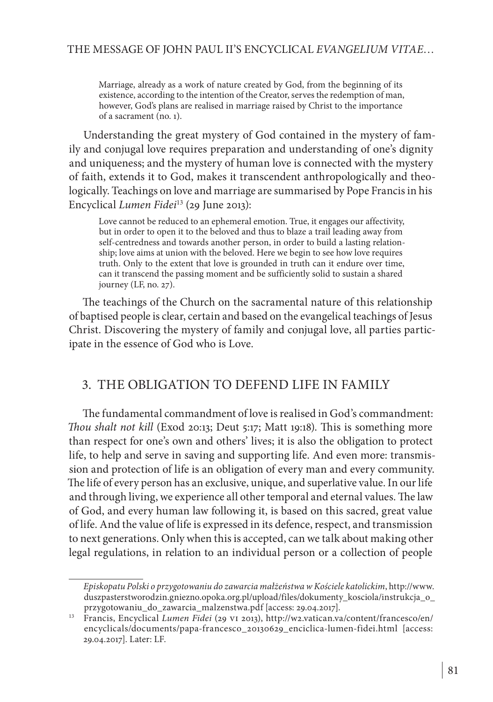Marriage, already as a work of nature created by God, from the beginning of its existence, according to the intention of the Creator, serves the redemption of man, however, God's plans are realised in marriage raised by Christ to the importance of a sacrament (no. 1).

Understanding the great mystery of God contained in the mystery of family and conjugal love requires preparation and understanding of one's dignity and uniqueness; and the mystery of human love is connected with the mystery of faith, extends it to God, makes it transcendent anthropologically and theologically. Teachings on love and marriage are summarised by Pope Francis in his Encyclical *Lumen Fidei*13 (29 June 2013):

Love cannot be reduced to an ephemeral emotion. True, it engages our affectivity, but in order to open it to the beloved and thus to blaze a trail leading away from self-centredness and towards another person, in order to build a lasting relationship; love aims at union with the beloved. Here we begin to see how love requires truth. Only to the extent that love is grounded in truth can it endure over time, can it transcend the passing moment and be sufficiently solid to sustain a shared journey (LF, no. 27).

The teachings of the Church on the sacramental nature of this relationship of baptised people is clear, certain and based on the evangelical teachings of Jesus Christ. Discovering the mystery of family and conjugal love, all parties participate in the essence of God who is Love.

#### 3. THE OBLIGATION TO DEFEND LIFE IN FAMILY

The fundamental commandment of love is realised in God's commandment: *Thou shalt not kill* (Exod 20:13; Deut 5:17; Matt 19:18). This is something more than respect for one's own and others' lives; it is also the obligation to protect life, to help and serve in saving and supporting life. And even more: transmission and protection of life is an obligation of every man and every community. The life of every person has an exclusive, unique, and superlative value. In our life and through living, we experience all other temporal and eternal values. The law of God, and every human law following it, is based on this sacred, great value of life. And the value of life is expressed in its defence, respect, and transmission to next generations. Only when this is accepted, can we talk about making other legal regulations, in relation to an individual person or a collection of people

*Episkopatu Polski o przygotowaniu do zawarcia małżeństwa w Kościele katolickim*, http://www. duszpasterstworodzin.gniezno.opoka.org.pl/upload/files/dokumenty\_kosciola/instrukcja\_o\_ przygotowaniu\_do\_zawarcia\_malzenstwa.pdf [access: 29.04.2017].

<sup>13</sup> Francis, Encyclical *Lumen Fidei* (29 vi 2013), http://w2.vatican.va/content/francesco/en/ encyclicals/documents/papa-francesco\_20130629\_enciclica-lumen-fidei.html [access: 29.04.2017]. Later: LF.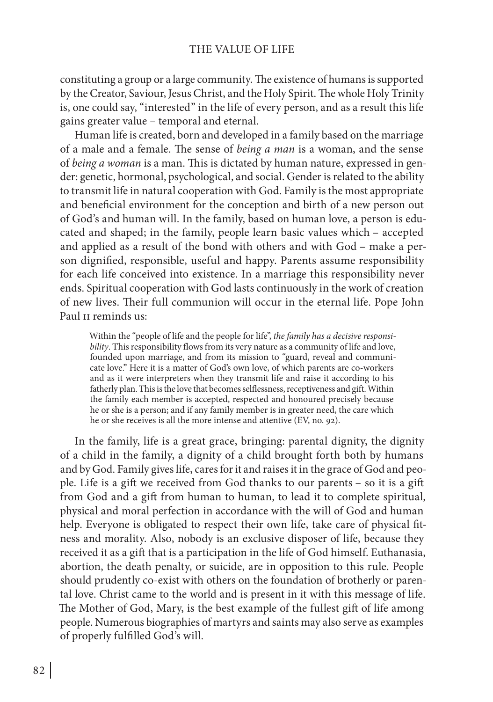constituting a group or a large community. The existence of humans is supported by the Creator, Saviour, Jesus Christ, and the Holy Spirit. The whole Holy Trinity is, one could say, "interested" in the life of every person, and as a result this life gains greater value – temporal and eternal.

Human life is created, born and developed in a family based on the marriage of a male and a female. The sense of *being a man* is a woman, and the sense of *being a woman* is a man. This is dictated by human nature, expressed in gender: genetic, hormonal, psychological, and social. Gender is related to the ability to transmit life in natural cooperation with God. Family is the most appropriate and beneficial environment for the conception and birth of a new person out of God's and human will. In the family, based on human love, a person is educated and shaped; in the family, people learn basic values which – accepted and applied as a result of the bond with others and with God – make a person dignified, responsible, useful and happy. Parents assume responsibility for each life conceived into existence. In a marriage this responsibility never ends. Spiritual cooperation with God lasts continuously in the work of creation of new lives. Their full communion will occur in the eternal life. Pope John Paul II reminds us:

Within the "people of life and the people for life", *the family has a decisive responsibility*. This responsibility flows from its very nature as a community of life and love, founded upon marriage, and from its mission to "guard, reveal and communicate love." Here it is a matter of God's own love, of which parents are co-workers and as it were interpreters when they transmit life and raise it according to his fatherly plan. This is the love that becomes selflessness, receptiveness and gift. Within the family each member is accepted, respected and honoured precisely because he or she is a person; and if any family member is in greater need, the care which he or she receives is all the more intense and attentive (EV, no. 92).

In the family, life is a great grace, bringing: parental dignity, the dignity of a child in the family, a dignity of a child brought forth both by humans and by God. Family gives life, cares for it and raises it in the grace of God and people. Life is a gift we received from God thanks to our parents – so it is a gift from God and a gift from human to human, to lead it to complete spiritual, physical and moral perfection in accordance with the will of God and human help. Everyone is obligated to respect their own life, take care of physical fitness and morality. Also, nobody is an exclusive disposer of life, because they received it as a gift that is a participation in the life of God himself. Euthanasia, abortion, the death penalty, or suicide, are in opposition to this rule. People should prudently co-exist with others on the foundation of brotherly or parental love. Christ came to the world and is present in it with this message of life. The Mother of God, Mary, is the best example of the fullest gift of life among people. Numerous biographies of martyrs and saints may also serve as examples of properly fulfilled God's will.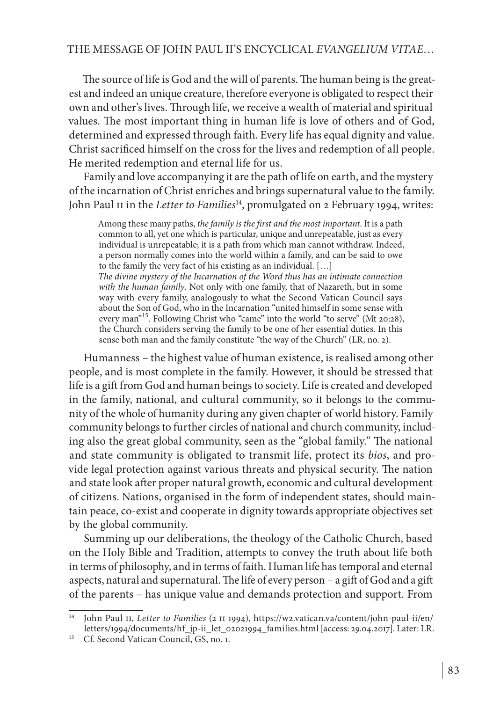#### THE MESSAGE OF JOHN PAUL II'S ENCYCLICAL *EVANGELIUM VITAE*…

The source of life is God and the will of parents. The human being is the greatest and indeed an unique creature, therefore everyone is obligated to respect their own and other's lives. Through life, we receive a wealth of material and spiritual values. The most important thing in human life is love of others and of God, determined and expressed through faith. Every life has equal dignity and value. Christ sacrificed himself on the cross for the lives and redemption of all people. He merited redemption and eternal life for us.

Family and love accompanying it are the path of life on earth, and the mystery of the incarnation of Christ enriches and brings supernatural value to the family. John Paul II in the *Letter to Families*<sup>14</sup>, promulgated on 2 February 1994, writes:

Among these many paths, *the family is the first and the most important*. It is a path common to all, yet one which is particular, unique and unrepeatable, just as every individual is unrepeatable; it is a path from which man cannot withdraw. Indeed, a person normally comes into the world within a family, and can be said to owe to the family the very fact of his existing as an individual. […]

*The divine mystery of the Incarnation of the Word thus has an intimate connection with the human family*. Not only with one family, that of Nazareth, but in some way with every family, analogously to what the Second Vatican Council says about the Son of God, who in the Incarnation "united himself in some sense with every man<sup>"15</sup>. Following Christ who "came" into the world "to serve" (Mt 20:28), the Church considers serving the family to be one of her essential duties. In this sense both man and the family constitute "the way of the Church" (LR, no. 2).

Humanness – the highest value of human existence, is realised among other people, and is most complete in the family. However, it should be stressed that life is a gift from God and human beings to society. Life is created and developed in the family, national, and cultural community, so it belongs to the community of the whole of humanity during any given chapter of world history. Family community belongs to further circles of national and church community, including also the great global community, seen as the "global family." The national and state community is obligated to transmit life, protect its *bios*, and provide legal protection against various threats and physical security. The nation and state look after proper natural growth, economic and cultural development of citizens. Nations, organised in the form of independent states, should maintain peace, co-exist and cooperate in dignity towards appropriate objectives set by the global community.

Summing up our deliberations, the theology of the Catholic Church, based on the Holy Bible and Tradition, attempts to convey the truth about life both in terms of philosophy, and in terms of faith. Human life has temporal and eternal aspects, natural and supernatural. The life of every person – a gift of God and a gift of the parents – has unique value and demands protection and support. From

<sup>14</sup> John Paul ii, *Letter to Families* (2 ii 1994), https://w2.vatican.va/content/john-paul-ii/en/ letters/1994/documents/hf\_jp-ii\_let\_02021994\_families.html [access: 29.04.2017]. Later: LR.

<sup>&</sup>lt;sup>15</sup> Cf. Second Vatican Council,  $GS$ , no. 1.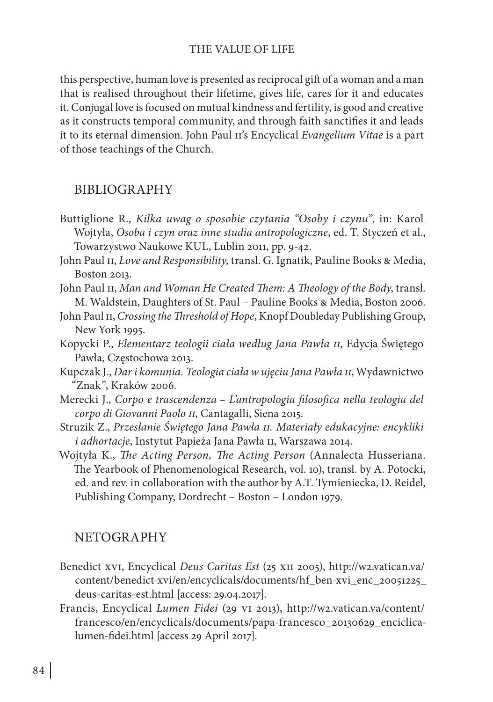#### THE VALUE OF LIFE

this perspective, human love is presented as reciprocal gift of a woman and a man that is realised throughout their lifetime, gives life, cares for it and educates it. Conjugal love is focused on mutual kindness and fertility, is good and creative as it constructs temporal community, and through faith sanctifies it and leads it to its eternal dimension. John Paul ii's Encyclical *Evangelium Vitae* is a part of those teachings of the Church.

#### BIBLIOGRAPHY

- Buttiglione R., *Kilka uwag o sposobie czytania "Osoby i czynu"*, in: Karol Wojtyła, *Osoba i czyn oraz inne studia antropologiczne*, ed. T. Styczeń et al., Towarzystwo Naukowe KUL, Lublin 2011, pp. 9-42.
- John Paul II, *Love and Responsibility*, transl. G. Ignatik, Pauline Books & Media, Boston 2013.
- John Paul II, *Man and Woman He Created Them: A Theology of the Body*, transl. M. Waldstein, Daughters of St. Paul – Pauline Books & Media, Boston 2006.
- John Paul II, *Crossing the Threshold of Hope*, Knopf Doubleday Publishing Group, New York 1995.
- Kopycki P., *Elementarz teologii ciała według Jana Pawła ii*, Edycja Świętego Pawła, Częstochowa 2013.
- Kupczak J., *Dar i komunia. Teologia ciała w ujęciu Jana Pawła ii*, Wydawnictwo "Znak", Kraków 2006.
- Merecki J., *Corpo e trascendenza L'antropologia filosofica nella teologia del corpo di Giovanni Paolo ii*, Cantagalli, Siena 2015.
- Struzik Z., *Przesłanie Świętego Jana Pawła ii. Materiały edukacyjne: encykliki i adhortacje*, Instytut Papieża Jana Pawła ii, Warszawa 2014.
- Wojtyła K., *The Acting Person, The Acting Person* (Annalecta Husseriana. The Yearbook of Phenomenological Research, vol. 10), transl. by A. Potocki, ed. and rev. in collaboration with the author by A.T. Tymieniecka, D. Reidel, Publishing Company, Dordrecht – Boston – London 1979.

#### NETOGRAPHY

- Benedict xvi, Encyclical *Deus Caritas Est* (25 xii 2005), http://w2.vatican.va/ content/benedict-xvi/en/encyclicals/documents/hf\_ben-xvi\_enc\_20051225\_ deus-caritas-est.html [access: 29.04.2017].
- Francis, Encyclical *Lumen Fidei* (29 vi 2013), http://w2.vatican.va/content/ francesco/en/encyclicals/documents/papa-francesco\_20130629\_enciclicalumen-fidei.html [access 29 April 2017].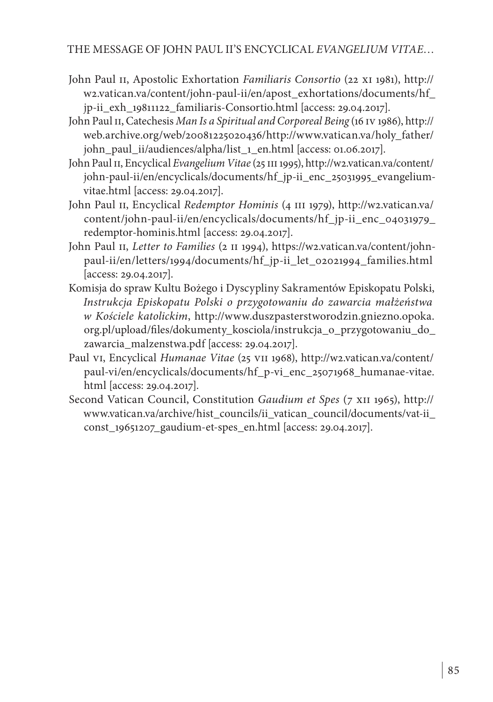#### THE MESSAGE OF JOHN PAUL II'S ENCYCLICAL *EVANGELIUM VITAE*…

- John Paul II, Apostolic Exhortation *Familiaris Consortio* (22 XI 1981), http:// w2.vatican.va/content/john-paul-ii/en/apost\_exhortations/documents/hf\_ jp-ii\_exh\_19811122\_familiaris-Consortio.html [access: 29.04.2017].
- John Paul ii, Catechesis *Man Is a Spiritual and Corporeal Being* (16 iv 1986), http:// web.archive.org/web/20081225020436/http://www.vatican.va/holy\_father/ john\_paul\_ii/audiences/alpha/list\_1\_en.html [access: 01.06.2017].
- John Paul II, Encyclical *Evangelium Vitae* (25 III 1995), http://w2.vatican.va/content/ john-paul-ii/en/encyclicals/documents/hf\_jp-ii\_enc\_25031995\_evangeliumvitae.html [access: 29.04.2017].
- John Paul II, Encyclical *Redemptor Hominis* (4 III 1979), http://w2.vatican.va/ content/john-paul-ii/en/encyclicals/documents/hf\_jp-ii\_enc\_04031979\_ redemptor-hominis.html [access: 29.04.2017].
- John Paul II, *Letter to Families* (2 II 1994), https://w2.vatican.va/content/johnpaul-ii/en/letters/1994/documents/hf\_jp-ii\_let\_02021994\_families.html [access: 29.04.2017].
- Komisja do spraw Kultu Bożego i Dyscypliny Sakramentów Episkopatu Polski, *Instrukcja Episkopatu Polski o przygotowaniu do zawarcia małżeństwa w Kościele katolickim*, http://www.duszpasterstworodzin.gniezno.opoka. org.pl/upload/files/dokumenty\_kosciola/instrukcja\_o\_przygotowaniu\_do\_ zawarcia\_malzenstwa.pdf [access: 29.04.2017].
- Paul vi, Encyclical *Humanae Vitae* (25 vii 1968), http://w2.vatican.va/content/ paul-vi/en/encyclicals/documents/hf\_p-vi\_enc\_25071968\_humanae-vitae. html [access: 29.04.2017].
- Second Vatican Council, Constitution *Gaudium et Spes* (7 xii 1965), http:// www.vatican.va/archive/hist\_councils/ii\_vatican\_council/documents/vat-ii\_ const\_19651207\_gaudium-et-spes\_en.html [access: 29.04.2017].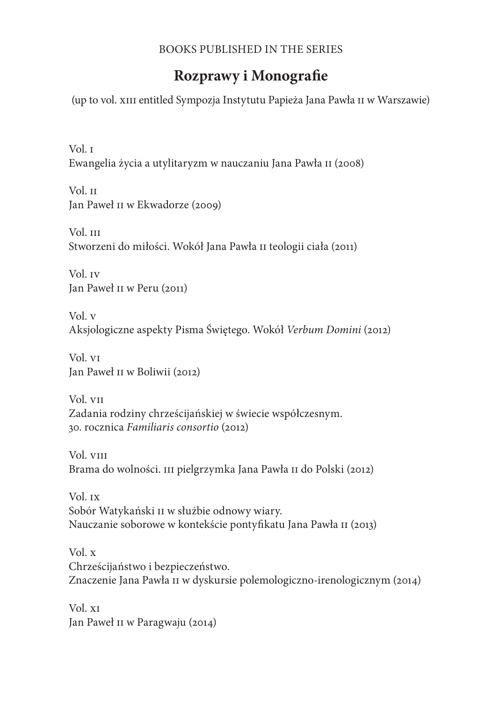#### BOOKS PUBLISHED IN THE SERIES

## **Rozprawy i Monografie**

(up to vol. xiii entitled Sympozja Instytutu Papieża Jana Pawła ii w Warszawie)

Vol. i Ewangelia życia a utylitaryzm w nauczaniu Jana Pawła ii (2008)

Vol. ii Jan Paweł ii w Ekwadorze (2009)

Vol. III Stworzeni do miłości. Wokół Jana Pawła ii teologii ciała (2011)

Vol. iv Jan Paweł ii w Peru (2011)

Vol. v Aksjologiczne aspekty Pisma Świętego. Wokół *Verbum Domini* (2012)

Vol. vi Jan Paweł ii w Boliwii (2012)

Vol. vii Zadania rodziny chrześcijańskiej w świecie współczesnym. 30. rocznica *Familiaris consortio* (2012)

Vol. viii Brama do wolności. iii pielgrzymka Jana Pawła ii do Polski (2012)

Vol. ix Sobór Watykański ii w służbie odnowy wiary. Nauczanie soborowe w kontekście pontyfikatu Jana Pawła ii (2013)

Vol. x Chrześcijaństwo i bezpieczeństwo. Znaczenie Jana Pawła ii w dyskursie polemologiczno-irenologicznym (2014)

Vol. xi Jan Paweł II w Paragwaju (2014)